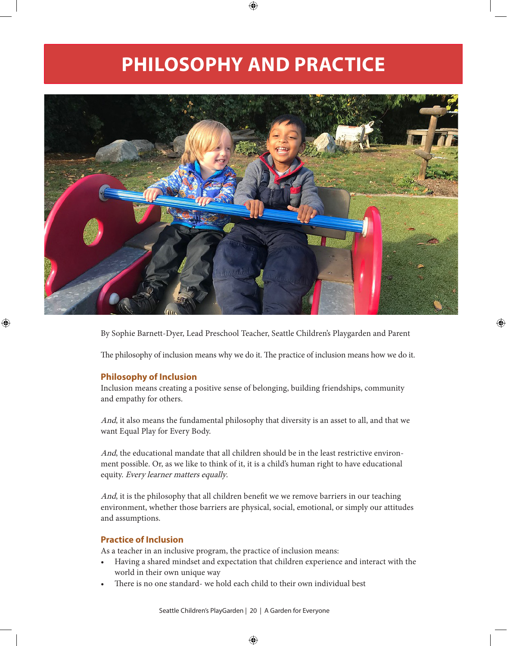## **PHILOSOPHY AND PRACTICE**



By Sophie Barnett-Dyer, Lead Preschool Teacher, Seattle Children's Playgarden and Parent

The philosophy of inclusion means why we do it. The practice of inclusion means how we do it.

## **Philosophy of Inclusion**

Inclusion means creating a positive sense of belonging, building friendships, community and empathy for others.

And, it also means the fundamental philosophy that diversity is an asset to all, and that we want Equal Play for Every Body.

And, the educational mandate that all children should be in the least restrictive environment possible. Or, as we like to think of it, it is a child's human right to have educational equity. Every learner matters equally.

And, it is the philosophy that all children benefit we we remove barriers in our teaching environment, whether those barriers are physical, social, emotional, or simply our attitudes and assumptions.

## **Practice of Inclusion**

As a teacher in an inclusive program, the practice of inclusion means:

- Having a shared mindset and expectation that children experience and interact with the world in their own unique way
- There is no one standard- we hold each child to their own individual best